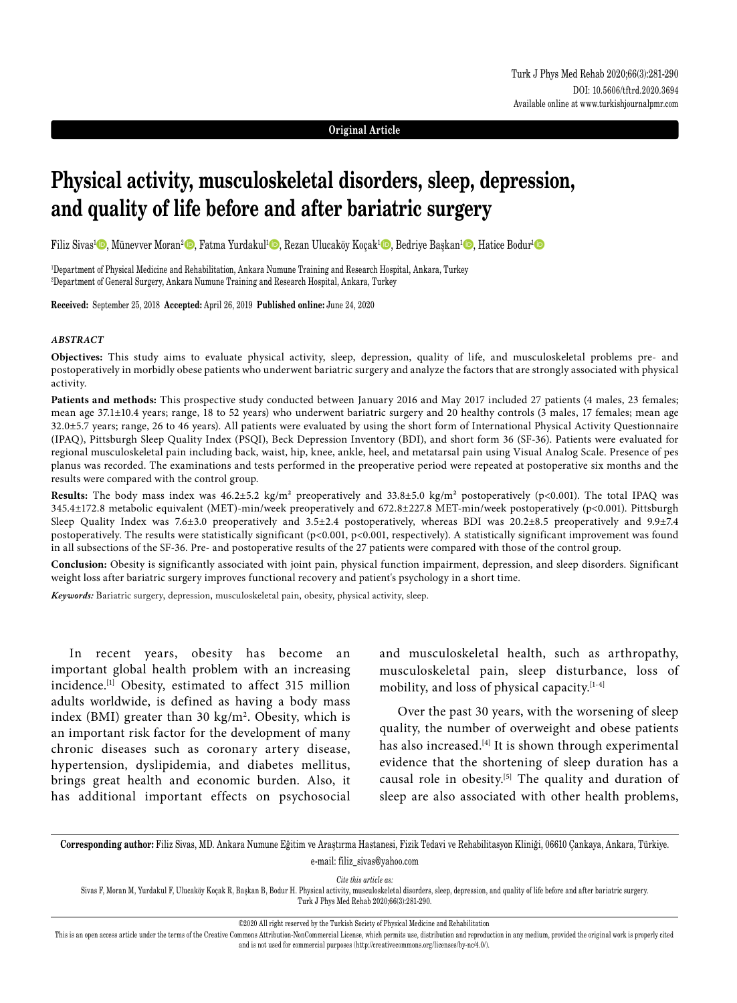**Original Article**

# **Physical activity, musculoskeletal disorders, sleep, depression, and quality of life before and after bariatric surgery**

Filiz Sivas<sup>ı</sup>©, Münevver Moran<sup>2</sup>©, Fatma Yurdakul<sup>ı</sup>©, Rezan Ulucaköy Koçak<sup>ı</sup>©, Bedriye Başkan<sup>ı</sup>©, Hatice Bodur'©

1 Department of Physical Medicine and Rehabilitation, Ankara Numune Training and Research Hospital, Ankara, Turkey 2 Department of General Surgery, Ankara Numune Training and Research Hospital, Ankara, Turkey

**Received:** September 25, 2018 **Accepted:** April 26, 2019 **Published online:** June 24, 2020

#### *ABSTRACT*

**Objectives:** This study aims to evaluate physical activity, sleep, depression, quality of life, and musculoskeletal problems pre- and postoperatively in morbidly obese patients who underwent bariatric surgery and analyze the factors that are strongly associated with physical activity.

Patients and methods: This prospective study conducted between January 2016 and May 2017 included 27 patients (4 males, 23 females; mean age 37.1±10.4 years; range, 18 to 52 years) who underwent bariatric surgery and 20 healthy controls (3 males, 17 females; mean age 32.0±5.7 years; range, 26 to 46 years). All patients were evaluated by using the short form of International Physical Activity Questionnaire (IPAQ), Pittsburgh Sleep Quality Index (PSQI), Beck Depression Inventory (BDI), and short form 36 (SF-36). Patients were evaluated for regional musculoskeletal pain including back, waist, hip, knee, ankle, heel, and metatarsal pain using Visual Analog Scale. Presence of pes planus was recorded. The examinations and tests performed in the preoperative period were repeated at postoperative six months and the results were compared with the control group.

**Results:** The body mass index was 46.2±5.2 kg/m² preoperatively and 33.8±5.0 kg/m² postoperatively (p<0.001). The total IPAQ was 345.4±172.8 metabolic equivalent (MET)-min/week preoperatively and 672.8±227.8 MET-min/week postoperatively (p<0.001). Pittsburgh Sleep Quality Index was 7.6±3.0 preoperatively and 3.5±2.4 postoperatively, whereas BDI was 20.2±8.5 preoperatively and 9.9±7.4 postoperatively. The results were statistically significant (p<0.001, p<0.001, respectively). A statistically significant improvement was found in all subsections of the SF-36. Pre- and postoperative results of the 27 patients were compared with those of the control group.

**Conclusion:** Obesity is significantly associated with joint pain, physical function impairment, depression, and sleep disorders. Significant weight loss after bariatric surgery improves functional recovery and patient's psychology in a short time.

*Keywords:* Bariatric surgery, depression, musculoskeletal pain, obesity, physical activity, sleep.

In recent years, obesity has become an important global health problem with an increasing incidence.[1] Obesity, estimated to affect 315 million adults worldwide, is defined as having a body mass index (BMI) greater than 30  $\text{kg/m}^2$ . Obesity, which is an important risk factor for the development of many chronic diseases such as coronary artery disease, hypertension, dyslipidemia, and diabetes mellitus, brings great health and economic burden. Also, it has additional important effects on psychosocial

and musculoskeletal health, such as arthropathy, musculoskeletal pain, sleep disturbance, loss of mobility, and loss of physical capacity. $[1-4]$ 

Over the past 30 years, with the worsening of sleep quality, the number of overweight and obese patients has also increased.<sup>[4]</sup> It is shown through experimental evidence that the shortening of sleep duration has a causal role in obesity.<sup>[5]</sup> The quality and duration of sleep are also associated with other health problems,

**Corresponding author:** Filiz Sivas, MD. Ankara Numune Eğitim ve Araştırma Hastanesi, Fizik Tedavi ve Rehabilitasyon Kliniği, 06610 Çankaya, Ankara, Türkiye.

e-mail: filiz\_sivas@yahoo.com

*Cite this article as:*

Sivas F, Moran M, Yurdakul F, Ulucaköy Koçak R, Başkan B, Bodur H. Physical activity, musculoskeletal disorders, sleep, depression, and quality of life before and after bariatric surgery. Turk J Phys Med Rehab 2020;66(3):281-290.

©2020 All right reserved by the Turkish Society of Physical Medicine and Rehabilitation

This is an open access article under the terms of the Creative Commons Attribution-NonCommercial License, which permits use, distribution and reproduction in any medium, provided the original work is properly cited and is not used for commercial purposes (http://creativecommons.org/licenses/by-nc/4.0/).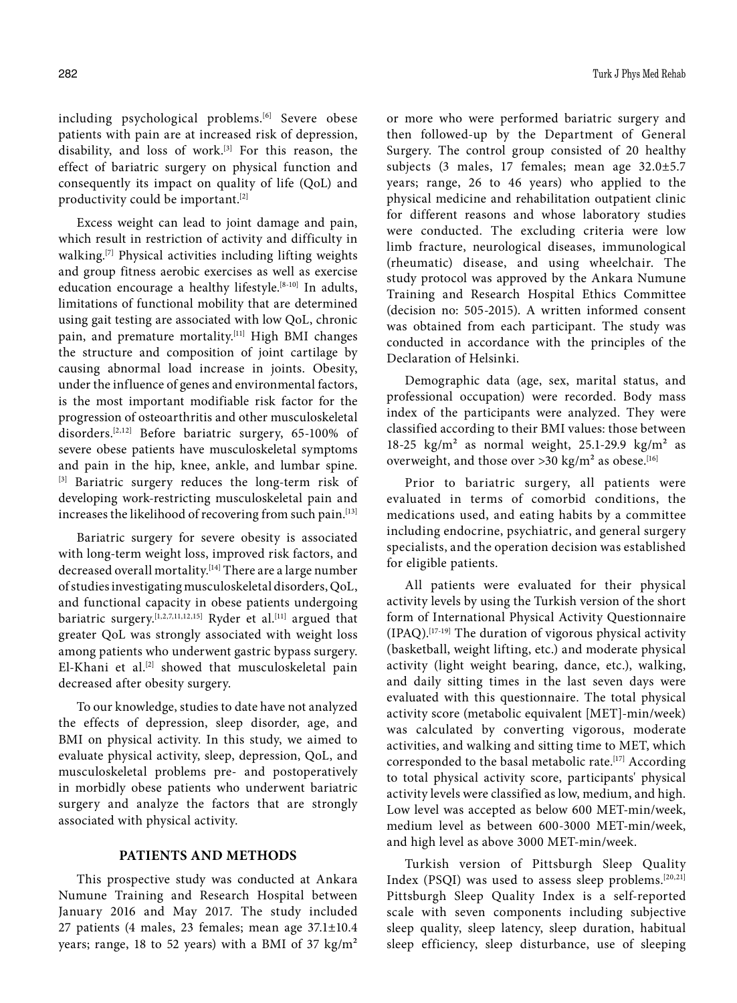including psychological problems.<sup>[6]</sup> Severe obese patients with pain are at increased risk of depression, disability, and loss of work.[3] For this reason, the effect of bariatric surgery on physical function and consequently its impact on quality of life (QoL) and productivity could be important.<sup>[2]</sup>

Excess weight can lead to joint damage and pain, which result in restriction of activity and difficulty in walking.[7] Physical activities including lifting weights and group fitness aerobic exercises as well as exercise education encourage a healthy lifestyle.<sup>[8-10]</sup> In adults, limitations of functional mobility that are determined using gait testing are associated with low QoL, chronic pain, and premature mortality.<sup>[11]</sup> High BMI changes the structure and composition of joint cartilage by causing abnormal load increase in joints. Obesity, under the influence of genes and environmental factors, is the most important modifiable risk factor for the progression of osteoarthritis and other musculoskeletal disorders.[2,12] Before bariatric surgery, 65-100% of severe obese patients have musculoskeletal symptoms and pain in the hip, knee, ankle, and lumbar spine. [3] Bariatric surgery reduces the long-term risk of developing work-restricting musculoskeletal pain and increases the likelihood of recovering from such pain.[13]

Bariatric surgery for severe obesity is associated with long-term weight loss, improved risk factors, and decreased overall mortality.<sup>[14]</sup> There are a large number of studies investigating musculoskeletal disorders, QoL, and functional capacity in obese patients undergoing bariatric surgery.<sup>[1,2,7,11,12,15]</sup> Ryder et al.<sup>[11]</sup> argued that greater QoL was strongly associated with weight loss among patients who underwent gastric bypass surgery. El-Khani et al.<sup>[2]</sup> showed that musculoskeletal pain decreased after obesity surgery.

To our knowledge, studies to date have not analyzed the effects of depression, sleep disorder, age, and BMI on physical activity. In this study, we aimed to evaluate physical activity, sleep, depression, QoL, and musculoskeletal problems pre- and postoperatively in morbidly obese patients who underwent bariatric surgery and analyze the factors that are strongly associated with physical activity.

## **PATIENTS AND METHODS**

This prospective study was conducted at Ankara Numune Training and Research Hospital between January 2016 and May 2017. The study included 27 patients (4 males, 23 females; mean age 37.1±10.4 years; range, 18 to 52 years) with a BMI of 37 kg/m<sup>2</sup> or more who were performed bariatric surgery and then followed-up by the Department of General Surgery. The control group consisted of 20 healthy subjects (3 males, 17 females; mean age 32.0±5.7 years; range, 26 to 46 years) who applied to the physical medicine and rehabilitation outpatient clinic for different reasons and whose laboratory studies were conducted. The excluding criteria were low limb fracture, neurological diseases, immunological (rheumatic) disease, and using wheelchair. The study protocol was approved by the Ankara Numune Training and Research Hospital Ethics Committee (decision no: 505-2015). A written informed consent was obtained from each participant. The study was conducted in accordance with the principles of the Declaration of Helsinki.

Demographic data (age, sex, marital status, and professional occupation) were recorded. Body mass index of the participants were analyzed. They were classified according to their BMI values: those between 18-25 kg/m<sup>2</sup> as normal weight, 25.1-29.9 kg/m<sup>2</sup> as overweight, and those over  $>30$  kg/m<sup>2</sup> as obese.<sup>[16]</sup>

Prior to bariatric surgery, all patients were evaluated in terms of comorbid conditions, the medications used, and eating habits by a committee including endocrine, psychiatric, and general surgery specialists, and the operation decision was established for eligible patients.

All patients were evaluated for their physical activity levels by using the Turkish version of the short form of International Physical Activity Questionnaire  $(IPAQ).$ <sup>[17-19]</sup> The duration of vigorous physical activity (basketball, weight lifting, etc.) and moderate physical activity (light weight bearing, dance, etc.), walking, and daily sitting times in the last seven days were evaluated with this questionnaire. The total physical activity score (metabolic equivalent [MET]-min/week) was calculated by converting vigorous, moderate activities, and walking and sitting time to MET, which corresponded to the basal metabolic rate.[17] According to total physical activity score, participants' physical activity levels were classified as low, medium, and high. Low level was accepted as below 600 MET-min/week, medium level as between 600-3000 MET-min/week, and high level as above 3000 MET-min/week.

Turkish version of Pittsburgh Sleep Quality Index (PSQI) was used to assess sleep problems.[20,21] Pittsburgh Sleep Quality Index is a self-reported scale with seven components including subjective sleep quality, sleep latency, sleep duration, habitual sleep efficiency, sleep disturbance, use of sleeping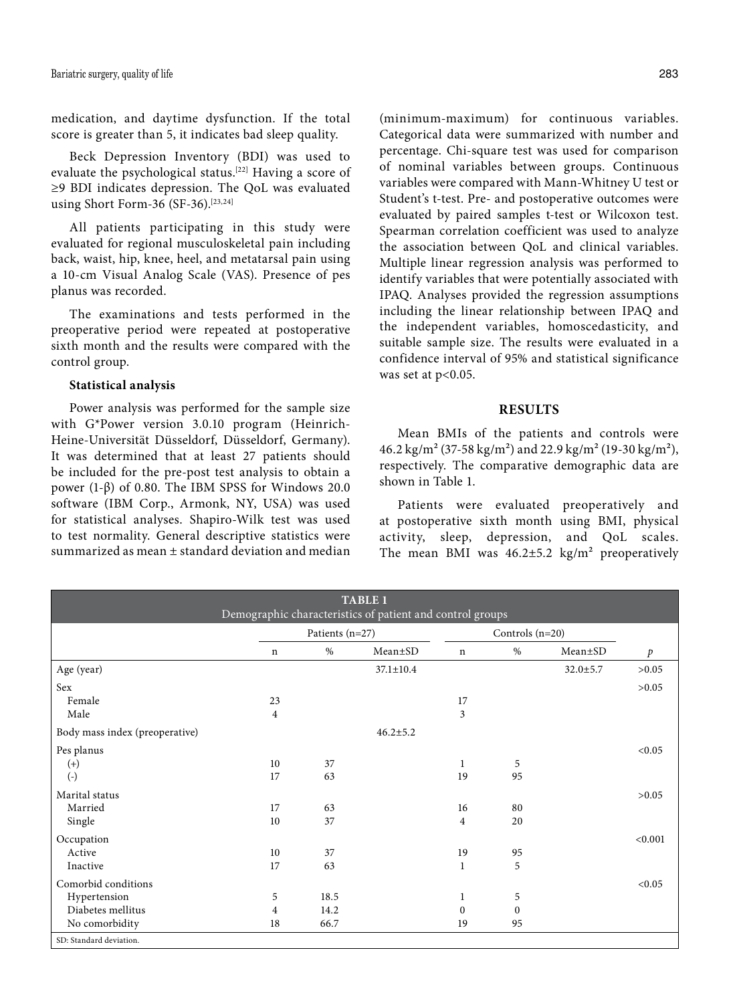Bariatric surgery, quality of life 283

medication, and daytime dysfunction. If the total score is greater than 5, it indicates bad sleep quality.

Beck Depression Inventory (BDI) was used to evaluate the psychological status.[22] Having a score of ≥9 BDI indicates depression. The QoL was evaluated using Short Form-36 (SF-36).[23,24]

All patients participating in this study were evaluated for regional musculoskeletal pain including back, waist, hip, knee, heel, and metatarsal pain using a 10-cm Visual Analog Scale (VAS). Presence of pes planus was recorded.

The examinations and tests performed in the preoperative period were repeated at postoperative sixth month and the results were compared with the control group.

### **Statistical analysis**

Power analysis was performed for the sample size with G\*Power version 3.0.10 program (Heinrich-Heine-Universität Düsseldorf, Düsseldorf, Germany). It was determined that at least 27 patients should be included for the pre-post test analysis to obtain a power (1-β) of 0.80. The IBM SPSS for Windows 20.0 software (IBM Corp., Armonk, NY, USA) was used for statistical analyses. Shapiro-Wilk test was used to test normality. General descriptive statistics were summarized as mean ± standard deviation and median (minimum-maximum) for continuous variables. Categorical data were summarized with number and percentage. Chi-square test was used for comparison of nominal variables between groups. Continuous variables were compared with Mann-Whitney U test or Student's t-test. Pre- and postoperative outcomes were evaluated by paired samples t-test or Wilcoxon test. Spearman correlation coefficient was used to analyze the association between QoL and clinical variables. Multiple linear regression analysis was performed to identify variables that were potentially associated with IPAQ. Analyses provided the regression assumptions including the linear relationship between IPAQ and the independent variables, homoscedasticity, and suitable sample size. The results were evaluated in a confidence interval of 95% and statistical significance was set at p<0.05.

### **RESULTS**

Mean BMIs of the patients and controls were 46.2 kg/m² (37-58 kg/m²) and 22.9 kg/m² (19-30 kg/m²), respectively. The comparative demographic data are shown in Table 1.

Patients were evaluated preoperatively and at postoperative sixth month using BMI, physical activity, sleep, depression, and QoL scales. The mean BMI was  $46.2 \pm 5.2$  kg/m<sup>2</sup> preoperatively

| <b>TABLE 1</b><br>Demographic characteristics of patient and control groups |                |                 |                 |          |                   |                |               |  |
|-----------------------------------------------------------------------------|----------------|-----------------|-----------------|----------|-------------------|----------------|---------------|--|
|                                                                             |                | Patients (n=27) |                 |          | Controls $(n=20)$ |                |               |  |
|                                                                             | n              | $\%$            | Mean±SD         | n        | $\%$              | Mean±SD        | $\mathcal{P}$ |  |
| Age (year)                                                                  |                |                 | $37.1 \pm 10.4$ |          |                   | $32.0 \pm 5.7$ | >0.05         |  |
| Sex                                                                         |                |                 |                 |          |                   |                | >0.05         |  |
| Female                                                                      | 23             |                 |                 | 17       |                   |                |               |  |
| Male                                                                        | $\overline{4}$ |                 |                 | 3        |                   |                |               |  |
| Body mass index (preoperative)                                              |                |                 | $46.2 \pm 5.2$  |          |                   |                |               |  |
| Pes planus                                                                  |                |                 |                 |          |                   |                | < 0.05        |  |
| $^{(+)}$                                                                    | 10             | 37              |                 | 1        | 5                 |                |               |  |
| $\left( -\right)$                                                           | 17             | 63              |                 | 19       | 95                |                |               |  |
| Marital status                                                              |                |                 |                 |          |                   |                | >0.05         |  |
| Married                                                                     | 17             | 63              |                 | 16       | 80                |                |               |  |
| Single                                                                      | 10             | 37              |                 | 4        | 20                |                |               |  |
| Occupation                                                                  |                |                 |                 |          |                   |                | < 0.001       |  |
| Active                                                                      | 10             | 37              |                 | 19       | 95                |                |               |  |
| Inactive                                                                    | 17             | 63              |                 | 1        | 5                 |                |               |  |
| Comorbid conditions                                                         |                |                 |                 |          |                   |                | < 0.05        |  |
| Hypertension                                                                | 5              | 18.5            |                 | 1        | 5                 |                |               |  |
| Diabetes mellitus                                                           | 4              | 14.2            |                 | $\Omega$ | $\Omega$          |                |               |  |
| No comorbidity                                                              | 18             | 66.7            |                 | 19       | 95                |                |               |  |
| SD: Standard deviation.                                                     |                |                 |                 |          |                   |                |               |  |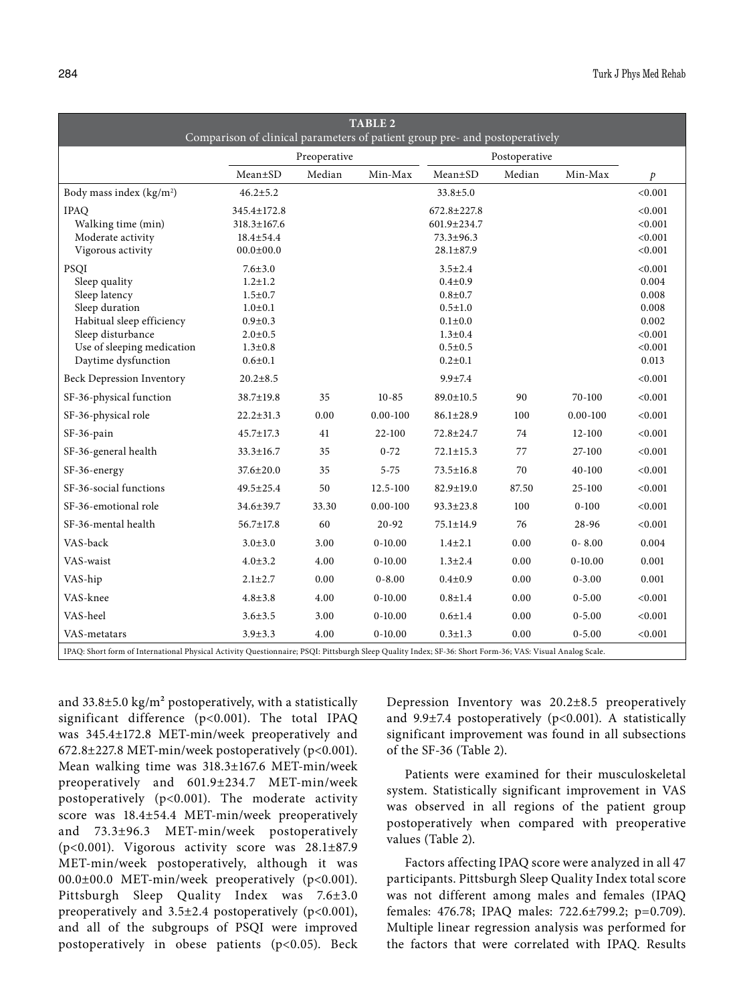| <b>TABLE 2</b>                                                                                                                                           |                 |        |              |                 |               |              |               |  |  |
|----------------------------------------------------------------------------------------------------------------------------------------------------------|-----------------|--------|--------------|-----------------|---------------|--------------|---------------|--|--|
| Comparison of clinical parameters of patient group pre- and postoperatively                                                                              |                 |        |              |                 |               |              |               |  |  |
|                                                                                                                                                          | Preoperative    |        |              |                 | Postoperative |              |               |  |  |
|                                                                                                                                                          | Mean±SD         | Median | Min-Max      | Mean±SD         | Median        | Min-Max      | $\mathcal{P}$ |  |  |
| Body mass index $(kg/m2)$                                                                                                                                | $46.2 \pm 5.2$  |        |              | $33.8 \pm 5.0$  |               |              | < 0.001       |  |  |
| <b>IPAQ</b>                                                                                                                                              | 345.4±172.8     |        |              | 672.8±227.8     |               |              | < 0.001       |  |  |
| Walking time (min)                                                                                                                                       | 318.3±167.6     |        |              | 601.9±234.7     |               |              | < 0.001       |  |  |
| Moderate activity                                                                                                                                        | 18.4±54.4       |        |              | $73.3 \pm 96.3$ |               |              | < 0.001       |  |  |
| Vigorous activity                                                                                                                                        | $00.0 \pm 00.0$ |        |              | $28.1 \pm 87.9$ |               |              | < 0.001       |  |  |
| <b>PSOI</b>                                                                                                                                              | $7.6 \pm 3.0$   |        |              | $3.5 \pm 2.4$   |               |              | < 0.001       |  |  |
| Sleep quality                                                                                                                                            | $1.2 \pm 1.2$   |        |              | $0.4 + 0.9$     |               |              | 0.004         |  |  |
| Sleep latency                                                                                                                                            | $1.5 \pm 0.7$   |        |              | $0.8 + 0.7$     |               |              | 0.008         |  |  |
| Sleep duration                                                                                                                                           | $1.0 + 0.1$     |        |              | $0.5 \pm 1.0$   |               |              | 0.008         |  |  |
| Habitual sleep efficiency                                                                                                                                | $0.9 \pm 0.3$   |        |              | $0.1 + 0.0$     |               |              | 0.002         |  |  |
| Sleep disturbance                                                                                                                                        | $2.0 \pm 0.5$   |        |              | $1.3 \pm 0.4$   |               |              | < 0.001       |  |  |
| Use of sleeping medication                                                                                                                               | $1.3 \pm 0.8$   |        |              | $0.5 + 0.5$     |               |              | < 0.001       |  |  |
| Daytime dysfunction                                                                                                                                      | $0.6 + 0.1$     |        |              | $0.2 \pm 0.1$   |               |              | 0.013         |  |  |
| <b>Beck Depression Inventory</b>                                                                                                                         | $20.2 \pm 8.5$  |        |              | $9.9 + 7.4$     |               |              | < 0.001       |  |  |
| SF-36-physical function                                                                                                                                  | 38.7±19.8       | 35     | $10 - 85$    | $89.0 \pm 10.5$ | 90            | 70-100       | < 0.001       |  |  |
| SF-36-physical role                                                                                                                                      | $22.2 \pm 31.3$ | 0.00   | $0.00 - 100$ | $86.1 \pm 28.9$ | 100           | $0.00 - 100$ | < 0.001       |  |  |
| SF-36-pain                                                                                                                                               | $45.7 \pm 17.3$ | 41     | 22-100       | $72.8 \pm 24.7$ | 74            | $12 - 100$   | < 0.001       |  |  |
| SF-36-general health                                                                                                                                     | $33.3 \pm 16.7$ | 35     | $0 - 72$     | $72.1 \pm 15.3$ | 77            | 27-100       | < 0.001       |  |  |
| SF-36-energy                                                                                                                                             | 37.6±20.0       | 35     | $5 - 75$     | $73.5 \pm 16.8$ | 70            | 40-100       | < 0.001       |  |  |
| SF-36-social functions                                                                                                                                   | 49.5±25.4       | 50     | 12.5-100     | 82.9±19.0       | 87.50         | 25-100       | < 0.001       |  |  |
| SF-36-emotional role                                                                                                                                     | 34.6±39.7       | 33.30  | $0.00 - 100$ | $93.3 \pm 23.8$ | 100           | $0 - 100$    | < 0.001       |  |  |
| SF-36-mental health                                                                                                                                      | $56.7 \pm 17.8$ | 60     | $20 - 92$    | $75.1 \pm 14.9$ | 76            | 28-96        | < 0.001       |  |  |
| VAS-back                                                                                                                                                 | $3.0 \pm 3.0$   | 3.00   | $0 - 10.00$  | $1.4 \pm 2.1$   | 0.00          | $0 - 8.00$   | 0.004         |  |  |
| VAS-waist                                                                                                                                                | $4.0 \pm 3.2$   | 4.00   | $0-10.00$    | $1.3 \pm 2.4$   | 0.00          | $0-10.00$    | 0.001         |  |  |
| VAS-hip                                                                                                                                                  | $2.1 \pm 2.7$   | 0.00   | $0 - 8.00$   | $0.4 \pm 0.9$   | 0.00          | $0 - 3.00$   | 0.001         |  |  |
| VAS-knee                                                                                                                                                 | $4.8 + 3.8$     | 4.00   | $0 - 10.00$  | $0.8 + 1.4$     | 0.00          | $0 - 5.00$   | < 0.001       |  |  |
| VAS-heel                                                                                                                                                 | $3.6 \pm 3.5$   | 3.00   | $0-10.00$    | $0.6 + 1.4$     | 0.00          | $0 - 5.00$   | < 0.001       |  |  |
| VAS-metatars                                                                                                                                             | $3.9 + 3.3$     | 4.00   | $0-10.00$    | $0.3 \pm 1.3$   | 0.00          | $0 - 5.00$   | < 0.001       |  |  |
| IPAQ: Short form of International Physical Activity Questionnaire; PSQI: Pittsburgh Sleep Quality Index; SF-36: Short Form-36; VAS: Visual Analog Scale. |                 |        |              |                 |               |              |               |  |  |

and  $33.8\pm5.0$  kg/m<sup>2</sup> postoperatively, with a statistically significant difference (p<0.001). The total IPAQ was 345.4±172.8 MET-min/week preoperatively and 672.8±227.8 MET-min/week postoperatively (p<0.001). Mean walking time was 318.3±167.6 MET-min/week preoperatively and 601.9±234.7 MET-min/week postoperatively (p<0.001). The moderate activity score was 18.4±54.4 MET-min/week preoperatively and 73.3±96.3 MET-min/week postoperatively (p<0.001). Vigorous activity score was 28.1±87.9 MET-min/week postoperatively, although it was 00.0±00.0 MET-min/week preoperatively (p<0.001). Pittsburgh Sleep Quality Index was 7.6±3.0 preoperatively and  $3.5\pm2.4$  postoperatively (p<0.001), and all of the subgroups of PSQI were improved postoperatively in obese patients (p<0.05). Beck Depression Inventory was 20.2±8.5 preoperatively and  $9.9\pm7.4$  postoperatively (p<0.001). A statistically significant improvement was found in all subsections of the SF-36 (Table 2).

Patients were examined for their musculoskeletal system. Statistically significant improvement in VAS was observed in all regions of the patient group postoperatively when compared with preoperative values (Table 2).

Factors affecting IPAQ score were analyzed in all 47 participants. Pittsburgh Sleep Quality Index total score was not different among males and females (IPAQ females: 476.78; IPAQ males: 722.6±799.2; p=0.709). Multiple linear regression analysis was performed for the factors that were correlated with IPAQ. Results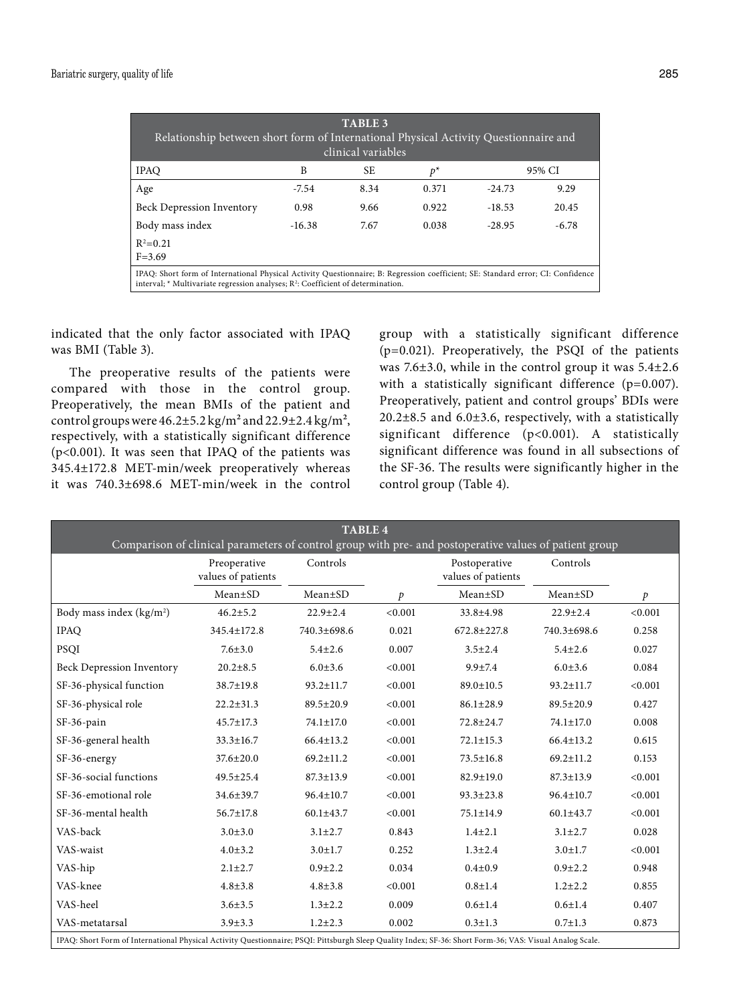| <b>TABLE 3</b><br>Relationship between short form of International Physical Activity Questionnaire and<br>clinical variables                                                                                                     |          |      |       |          |         |  |  |  |
|----------------------------------------------------------------------------------------------------------------------------------------------------------------------------------------------------------------------------------|----------|------|-------|----------|---------|--|--|--|
| <b>IPAQ</b>                                                                                                                                                                                                                      | B        | SE.  | $p^*$ |          | 95% CI  |  |  |  |
| Age                                                                                                                                                                                                                              | $-7.54$  | 8.34 | 0.371 | $-24.73$ | 9.29    |  |  |  |
| <b>Beck Depression Inventory</b>                                                                                                                                                                                                 | 0.98     | 9.66 | 0.922 | $-18.53$ | 20.45   |  |  |  |
| Body mass index                                                                                                                                                                                                                  | $-16.38$ | 7.67 | 0.038 | $-28.95$ | $-6.78$ |  |  |  |
| $R^2 = 0.21$<br>$F = 3.69$                                                                                                                                                                                                       |          |      |       |          |         |  |  |  |
| IPAQ: Short form of International Physical Activity Questionnaire; B: Regression coefficient; SE: Standard error; CI: Confidence<br>interval; * Multivariate regression analyses; R <sup>2</sup> : Coefficient of determination. |          |      |       |          |         |  |  |  |

indicated that the only factor associated with IPAQ was BMI (Table 3).

The preoperative results of the patients were compared with those in the control group. Preoperatively, the mean BMIs of the patient and control groups were  $46.2 \pm 5.2$  kg/m<sup>2</sup> and  $22.9 \pm 2.4$  kg/m<sup>2</sup>, respectively, with a statistically significant difference (p<0.001). It was seen that IPAQ of the patients was 345.4±172.8 MET-min/week preoperatively whereas it was 740.3±698.6 MET-min/week in the control

group with a statistically significant difference (p=0.021). Preoperatively, the PSQI of the patients was 7.6±3.0, while in the control group it was 5.4±2.6 with a statistically significant difference (p=0.007). Preoperatively, patient and control groups' BDIs were 20.2±8.5 and 6.0±3.6, respectively, with a statistically significant difference (p<0.001). A statistically significant difference was found in all subsections of the SF-36. The results were significantly higher in the control group (Table 4).

| <b>TABLE 4</b>                                                                                         |                                                                                                                                                          |                 |                                     |                   |                 |               |  |  |  |  |
|--------------------------------------------------------------------------------------------------------|----------------------------------------------------------------------------------------------------------------------------------------------------------|-----------------|-------------------------------------|-------------------|-----------------|---------------|--|--|--|--|
| Comparison of clinical parameters of control group with pre- and postoperative values of patient group |                                                                                                                                                          |                 |                                     |                   |                 |               |  |  |  |  |
|                                                                                                        | Preoperative<br>values of patients                                                                                                                       | Controls        | Postoperative<br>values of patients |                   | Controls        |               |  |  |  |  |
|                                                                                                        | $Mean \pm SD$                                                                                                                                            | $Mean \pm SD$   | $\mathcal{P}$                       | $Mean \pm SD$     | $Mean \pm SD$   | $\mathcal{P}$ |  |  |  |  |
| Body mass index $(kg/m2)$                                                                              | $46.2 \pm 5.2$                                                                                                                                           | $22.9 \pm 2.4$  | < 0.001                             | 33.8±4.98         | $22.9 \pm 2.4$  | < 0.001       |  |  |  |  |
| <b>IPAO</b>                                                                                            | 345.4±172.8                                                                                                                                              | 740.3±698.6     | 0.021                               | $672.8 \pm 227.8$ | 740.3±698.6     | 0.258         |  |  |  |  |
| PSQI                                                                                                   | $7.6 \pm 3.0$                                                                                                                                            | $5.4 \pm 2.6$   | 0.007                               | $3.5 \pm 2.4$     | $5.4 \pm 2.6$   | 0.027         |  |  |  |  |
| <b>Beck Depression Inventory</b>                                                                       | $20.2 \pm 8.5$                                                                                                                                           | $6.0 \pm 3.6$   | < 0.001                             | $9.9 \pm 7.4$     | $6.0 \pm 3.6$   | 0.084         |  |  |  |  |
| SF-36-physical function                                                                                | 38.7±19.8                                                                                                                                                | $93.2 \pm 11.7$ | < 0.001                             | $89.0 \pm 10.5$   | $93.2 \pm 11.7$ | < 0.001       |  |  |  |  |
| SF-36-physical role                                                                                    | $22.2 \pm 31.3$                                                                                                                                          | $89.5 \pm 20.9$ | < 0.001                             | $86.1 \pm 28.9$   | $89.5 \pm 20.9$ | 0.427         |  |  |  |  |
| $SF-36-pain$                                                                                           | $45.7 \pm 17.3$                                                                                                                                          | 74.1±17.0       | < 0.001                             | 72.8±24.7         | $74.1 \pm 17.0$ | 0.008         |  |  |  |  |
| SF-36-general health                                                                                   | $33.3 \pm 16.7$                                                                                                                                          | $66.4 \pm 13.2$ | < 0.001                             | $72.1 \pm 15.3$   | $66.4 \pm 13.2$ | 0.615         |  |  |  |  |
| SF-36-energy                                                                                           | $37.6 \pm 20.0$                                                                                                                                          | $69.2 \pm 11.2$ | < 0.001                             | $73.5 \pm 16.8$   | $69.2 \pm 11.2$ | 0.153         |  |  |  |  |
| SF-36-social functions                                                                                 | $49.5 \pm 25.4$                                                                                                                                          | $87.3 \pm 13.9$ | < 0.001                             | $82.9 \pm 19.0$   | $87.3 \pm 13.9$ | < 0.001       |  |  |  |  |
| SF-36-emotional role                                                                                   | $34.6 \pm 39.7$                                                                                                                                          | $96.4 \pm 10.7$ | < 0.001                             | $93.3 \pm 23.8$   | $96.4 \pm 10.7$ | < 0.001       |  |  |  |  |
| SF-36-mental health                                                                                    | $56.7 \pm 17.8$                                                                                                                                          | $60.1 \pm 43.7$ | < 0.001                             | $75.1 \pm 14.9$   | $60.1 \pm 43.7$ | < 0.001       |  |  |  |  |
| VAS-back                                                                                               | $3.0 \pm 3.0$                                                                                                                                            | $3.1 \pm 2.7$   | 0.843                               | $1.4 \pm 2.1$     | $3.1 \pm 2.7$   | 0.028         |  |  |  |  |
| VAS-waist                                                                                              | $4.0 \pm 3.2$                                                                                                                                            | $3.0 \pm 1.7$   | 0.252                               | $1.3 \pm 2.4$     | $3.0 \pm 1.7$   | < 0.001       |  |  |  |  |
| VAS-hip                                                                                                | $2.1 \pm 2.7$                                                                                                                                            | $0.9 + 2.2$     | 0.034                               | $0.4 + 0.9$       | $0.9 + 2.2$     | 0.948         |  |  |  |  |
| VAS-knee                                                                                               | $4.8 \pm 3.8$                                                                                                                                            | $4.8 + 3.8$     | < 0.001                             | $0.8 + 1.4$       | $1.2 \pm 2.2$   | 0.855         |  |  |  |  |
| VAS-heel                                                                                               | $3.6 \pm 3.5$                                                                                                                                            | $1.3 \pm 2.2$   | 0.009                               | $0.6 \pm 1.4$     | $0.6 \pm 1.4$   | 0.407         |  |  |  |  |
| VAS-metatarsal                                                                                         | $3.9 \pm 3.3$                                                                                                                                            | $1.2 \pm 2.3$   | 0.002                               | $0.3 \pm 1.3$     | $0.7 \pm 1.3$   | 0.873         |  |  |  |  |
|                                                                                                        | IPAQ: Short Form of International Physical Activity Questionnaire; PSQI: Pittsburgh Sleep Quality Index; SF-36: Short Form-36; VAS: Visual Analog Scale. |                 |                                     |                   |                 |               |  |  |  |  |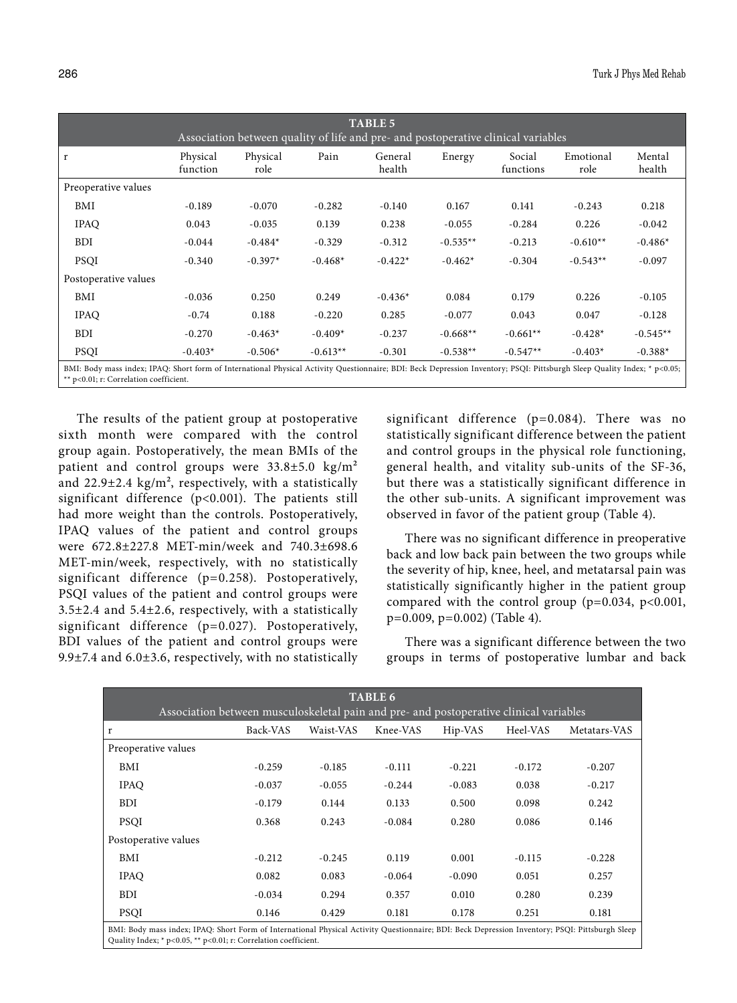| <b>TABLE 5</b><br>Association between quality of life and pre- and postoperative clinical variables |                                                                                                                                                                          |                  |            |                   |            |                     |                   |                  |  |
|-----------------------------------------------------------------------------------------------------|--------------------------------------------------------------------------------------------------------------------------------------------------------------------------|------------------|------------|-------------------|------------|---------------------|-------------------|------------------|--|
| r                                                                                                   | Physical<br>function                                                                                                                                                     | Physical<br>role | Pain       | General<br>health | Energy     | Social<br>functions | Emotional<br>role | Mental<br>health |  |
| Preoperative values                                                                                 |                                                                                                                                                                          |                  |            |                   |            |                     |                   |                  |  |
| BMI                                                                                                 | $-0.189$                                                                                                                                                                 | $-0.070$         | $-0.282$   | $-0.140$          | 0.167      | 0.141               | $-0.243$          | 0.218            |  |
| <b>IPAQ</b>                                                                                         | 0.043                                                                                                                                                                    | $-0.035$         | 0.139      | 0.238             | $-0.055$   | $-0.284$            | 0.226             | $-0.042$         |  |
| <b>BDI</b>                                                                                          | $-0.044$                                                                                                                                                                 | $-0.484*$        | $-0.329$   | $-0.312$          | $-0.535**$ | $-0.213$            | $-0.610**$        | $-0.486*$        |  |
| <b>PSOI</b>                                                                                         | $-0.340$                                                                                                                                                                 | $-0.397*$        | $-0.468*$  | $-0.422*$         | $-0.462*$  | $-0.304$            | $-0.543**$        | $-0.097$         |  |
| Postoperative values                                                                                |                                                                                                                                                                          |                  |            |                   |            |                     |                   |                  |  |
| BMI                                                                                                 | $-0.036$                                                                                                                                                                 | 0.250            | 0.249      | $-0.436*$         | 0.084      | 0.179               | 0.226             | $-0.105$         |  |
| <b>IPAQ</b>                                                                                         | $-0.74$                                                                                                                                                                  | 0.188            | $-0.220$   | 0.285             | $-0.077$   | 0.043               | 0.047             | $-0.128$         |  |
| <b>BDI</b>                                                                                          | $-0.270$                                                                                                                                                                 | $-0.463*$        | $-0.409*$  | $-0.237$          | $-0.668**$ | $-0.661**$          | $-0.428*$         | $-0.545**$       |  |
| <b>PSOI</b>                                                                                         | $-0.403*$                                                                                                                                                                | $-0.506*$        | $-0.613**$ | $-0.301$          | $-0.538**$ | $-0.547**$          | $-0.403*$         | $-0.388*$        |  |
|                                                                                                     | BMI: Body mass index; IPAQ: Short form of International Physical Activity Questionnaire; BDI: Beck Depression Inventory; PSQI: Pittsburgh Sleep Quality Index; * p<0.05; |                  |            |                   |            |                     |                   |                  |  |

\*\* p<0.01; r: Correlation coefficient.

The results of the patient group at postoperative sixth month were compared with the control group again. Postoperatively, the mean BMIs of the patient and control groups were  $33.8 \pm 5.0$  kg/m<sup>2</sup> and  $22.9\pm2.4$  kg/m<sup>2</sup>, respectively, with a statistically significant difference (p<0.001). The patients still had more weight than the controls. Postoperatively, IPAQ values of the patient and control groups were 672.8±227.8 MET-min/week and 740.3±698.6 MET-min/week, respectively, with no statistically significant difference (p=0.258). Postoperatively, PSQI values of the patient and control groups were 3.5±2.4 and 5.4±2.6, respectively, with a statistically significant difference (p=0.027). Postoperatively, BDI values of the patient and control groups were 9.9±7.4 and 6.0±3.6, respectively, with no statistically

significant difference (p=0.084). There was no statistically significant difference between the patient and control groups in the physical role functioning, general health, and vitality sub-units of the SF-36, but there was a statistically significant difference in the other sub-units. A significant improvement was observed in favor of the patient group (Table 4).

There was no significant difference in preoperative back and low back pain between the two groups while the severity of hip, knee, heel, and metatarsal pain was statistically significantly higher in the patient group compared with the control group ( $p=0.034$ ,  $p<0.001$ , p=0.009, p=0.002) (Table 4).

There was a significant difference between the two groups in terms of postoperative lumbar and back

| <b>TABLE 6</b><br>Association between musculoskeletal pain and pre- and postoperative clinical variables                                                                                                           |          |           |          |          |          |              |  |  |
|--------------------------------------------------------------------------------------------------------------------------------------------------------------------------------------------------------------------|----------|-----------|----------|----------|----------|--------------|--|--|
| r                                                                                                                                                                                                                  | Back-VAS | Waist-VAS | Knee-VAS | Hip-VAS  | Heel-VAS | Metatars-VAS |  |  |
| Preoperative values                                                                                                                                                                                                |          |           |          |          |          |              |  |  |
| BMI                                                                                                                                                                                                                | $-0.259$ | $-0.185$  | $-0.111$ | $-0.221$ | $-0.172$ | $-0.207$     |  |  |
| <b>IPAQ</b>                                                                                                                                                                                                        | $-0.037$ | $-0.055$  | $-0.244$ | $-0.083$ | 0.038    | $-0.217$     |  |  |
| <b>BDI</b>                                                                                                                                                                                                         | $-0.179$ | 0.144     | 0.133    | 0.500    | 0.098    | 0.242        |  |  |
| <b>PSQI</b>                                                                                                                                                                                                        | 0.368    | 0.243     | $-0.084$ | 0.280    | 0.086    | 0.146        |  |  |
| Postoperative values                                                                                                                                                                                               |          |           |          |          |          |              |  |  |
| BMI                                                                                                                                                                                                                | $-0.212$ | $-0.245$  | 0.119    | 0.001    | $-0.115$ | $-0.228$     |  |  |
| <b>IPAQ</b>                                                                                                                                                                                                        | 0.082    | 0.083     | $-0.064$ | $-0.090$ | 0.051    | 0.257        |  |  |
| <b>BDI</b>                                                                                                                                                                                                         | $-0.034$ | 0.294     | 0.357    | 0.010    | 0.280    | 0.239        |  |  |
| <b>PSOI</b>                                                                                                                                                                                                        | 0.146    | 0.429     | 0.181    | 0.178    | 0.251    | 0.181        |  |  |
| BMI: Body mass index; IPAQ: Short Form of International Physical Activity Questionnaire; BDI: Beck Depression Inventory; PSQI: Pittsburgh Sleep<br>Quality Index; * p<0.05, ** p<0.01; r: Correlation coefficient. |          |           |          |          |          |              |  |  |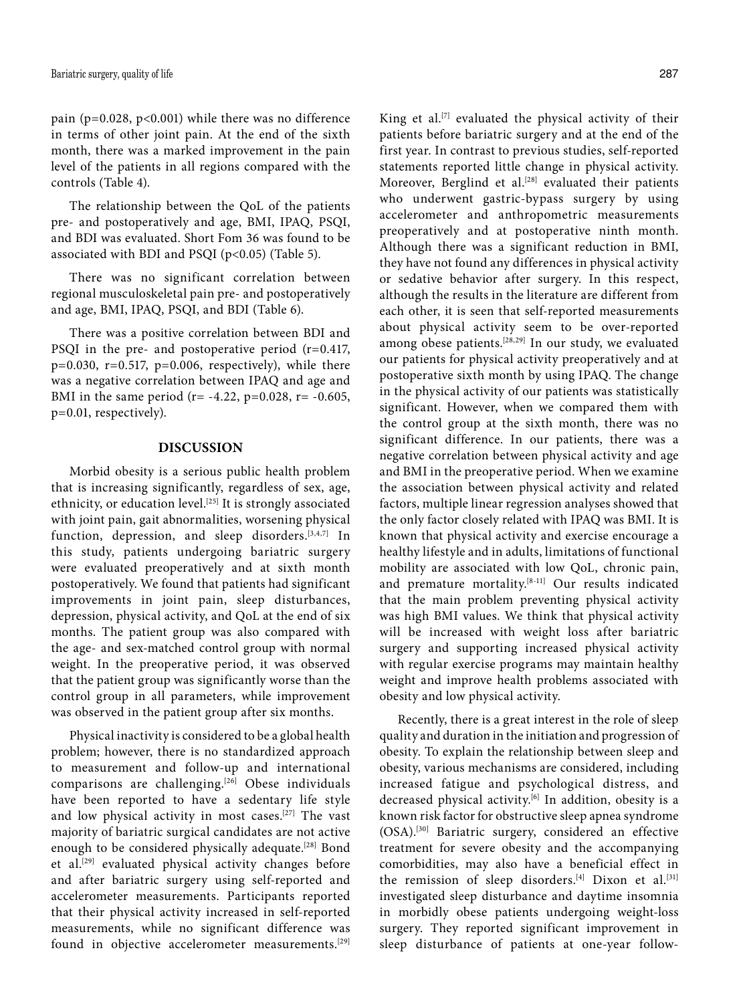pain ( $p=0.028$ ,  $p<0.001$ ) while there was no difference in terms of other joint pain. At the end of the sixth month, there was a marked improvement in the pain level of the patients in all regions compared with the controls (Table 4).

The relationship between the QoL of the patients pre- and postoperatively and age, BMI, IPAQ, PSQI, and BDI was evaluated. Short Fom 36 was found to be associated with BDI and PSQI ( $p<0.05$ ) (Table 5).

There was no significant correlation between regional musculoskeletal pain pre- and postoperatively and age, BMI, IPAQ, PSQI, and BDI (Table 6).

There was a positive correlation between BDI and PSQI in the pre- and postoperative period  $(r=0.417,$  $p=0.030$ ,  $r=0.517$ ,  $p=0.006$ , respectively), while there was a negative correlation between IPAQ and age and BMI in the same period ( $r = -4.22$ ,  $p = 0.028$ ,  $r = -0.605$ , p=0.01, respectively).

#### **DISCUSSION**

Morbid obesity is a serious public health problem that is increasing significantly, regardless of sex, age, ethnicity, or education level.[25] It is strongly associated with joint pain, gait abnormalities, worsening physical function, depression, and sleep disorders.<sup>[3,4,7]</sup> In this study, patients undergoing bariatric surgery were evaluated preoperatively and at sixth month postoperatively. We found that patients had significant improvements in joint pain, sleep disturbances, depression, physical activity, and QoL at the end of six months. The patient group was also compared with the age- and sex-matched control group with normal weight. In the preoperative period, it was observed that the patient group was significantly worse than the control group in all parameters, while improvement was observed in the patient group after six months.

Physical inactivity is considered to be a global health problem; however, there is no standardized approach to measurement and follow-up and international comparisons are challenging.[26] Obese individuals have been reported to have a sedentary life style and low physical activity in most cases.[27] The vast majority of bariatric surgical candidates are not active enough to be considered physically adequate.<sup>[28]</sup> Bond et al.<sup>[29]</sup> evaluated physical activity changes before and after bariatric surgery using self-reported and accelerometer measurements. Participants reported that their physical activity increased in self-reported measurements, while no significant difference was found in objective accelerometer measurements.<sup>[29]</sup>

King et al. $[7]$  evaluated the physical activity of their patients before bariatric surgery and at the end of the first year. In contrast to previous studies, self-reported statements reported little change in physical activity. Moreover, Berglind et al.<sup>[28]</sup> evaluated their patients who underwent gastric-bypass surgery by using accelerometer and anthropometric measurements preoperatively and at postoperative ninth month. Although there was a significant reduction in BMI, they have not found any differences in physical activity or sedative behavior after surgery. In this respect, although the results in the literature are different from each other, it is seen that self-reported measurements about physical activity seem to be over-reported among obese patients.<sup>[28,29]</sup> In our study, we evaluated our patients for physical activity preoperatively and at postoperative sixth month by using IPAQ. The change in the physical activity of our patients was statistically significant. However, when we compared them with the control group at the sixth month, there was no significant difference. In our patients, there was a negative correlation between physical activity and age and BMI in the preoperative period. When we examine the association between physical activity and related factors, multiple linear regression analyses showed that the only factor closely related with IPAQ was BMI. It is known that physical activity and exercise encourage a healthy lifestyle and in adults, limitations of functional mobility are associated with low QoL, chronic pain, and premature mortality.<sup>[8-11]</sup> Our results indicated that the main problem preventing physical activity was high BMI values. We think that physical activity will be increased with weight loss after bariatric surgery and supporting increased physical activity with regular exercise programs may maintain healthy weight and improve health problems associated with obesity and low physical activity.

Recently, there is a great interest in the role of sleep quality and duration in the initiation and progression of obesity. To explain the relationship between sleep and obesity, various mechanisms are considered, including increased fatigue and psychological distress, and decreased physical activity.<sup>[6]</sup> In addition, obesity is a known risk factor for obstructive sleep apnea syndrome (OSA).[30] Bariatric surgery, considered an effective treatment for severe obesity and the accompanying comorbidities, may also have a beneficial effect in the remission of sleep disorders.<sup>[4]</sup> Dixon et al.<sup>[31]</sup> investigated sleep disturbance and daytime insomnia in morbidly obese patients undergoing weight-loss surgery. They reported significant improvement in sleep disturbance of patients at one-year follow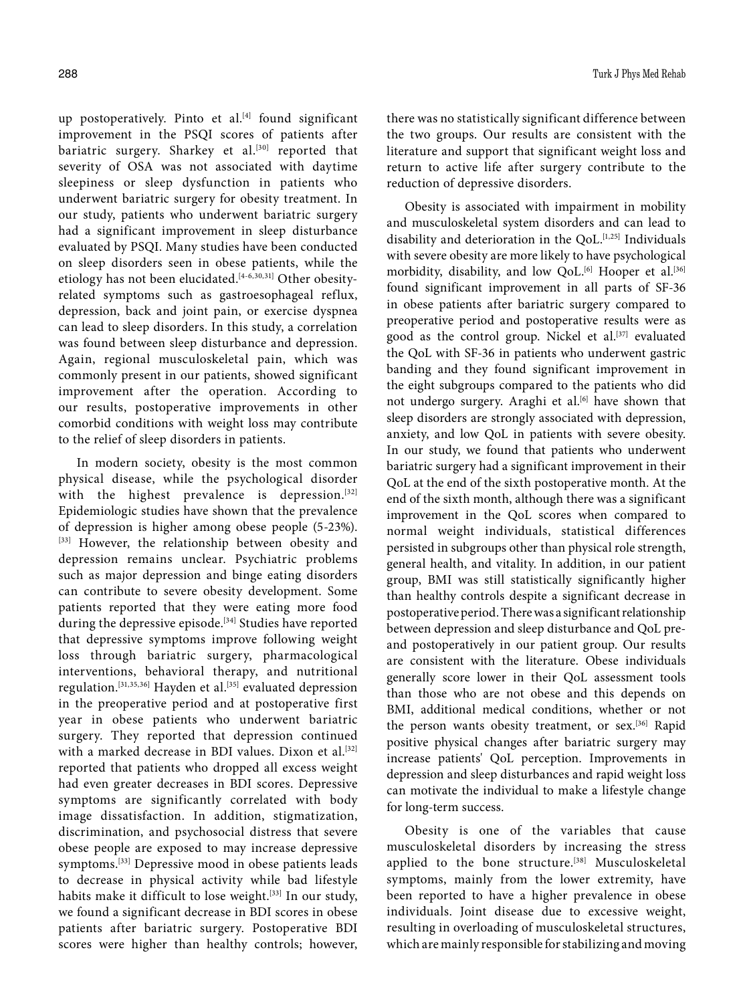up postoperatively. Pinto et al.<sup>[4]</sup> found significant improvement in the PSQI scores of patients after bariatric surgery. Sharkey et al.<sup>[30]</sup> reported that severity of OSA was not associated with daytime sleepiness or sleep dysfunction in patients who underwent bariatric surgery for obesity treatment. In our study, patients who underwent bariatric surgery had a significant improvement in sleep disturbance evaluated by PSQI. Many studies have been conducted on sleep disorders seen in obese patients, while the etiology has not been elucidated.<sup>[4-6,30,31]</sup> Other obesityrelated symptoms such as gastroesophageal reflux, depression, back and joint pain, or exercise dyspnea can lead to sleep disorders. In this study, a correlation was found between sleep disturbance and depression. Again, regional musculoskeletal pain, which was commonly present in our patients, showed significant improvement after the operation. According to our results, postoperative improvements in other comorbid conditions with weight loss may contribute to the relief of sleep disorders in patients.

In modern society, obesity is the most common physical disease, while the psychological disorder with the highest prevalence is depression.<sup>[32]</sup> Epidemiologic studies have shown that the prevalence of depression is higher among obese people (5-23%). [33] However, the relationship between obesity and depression remains unclear. Psychiatric problems such as major depression and binge eating disorders can contribute to severe obesity development. Some patients reported that they were eating more food during the depressive episode.<sup>[34]</sup> Studies have reported that depressive symptoms improve following weight loss through bariatric surgery, pharmacological interventions, behavioral therapy, and nutritional regulation.<sup>[31,35,36]</sup> Hayden et al.<sup>[35]</sup> evaluated depression in the preoperative period and at postoperative first year in obese patients who underwent bariatric surgery. They reported that depression continued with a marked decrease in BDI values. Dixon et al.<sup>[32]</sup> reported that patients who dropped all excess weight had even greater decreases in BDI scores. Depressive symptoms are significantly correlated with body image dissatisfaction. In addition, stigmatization, discrimination, and psychosocial distress that severe obese people are exposed to may increase depressive symptoms.[33] Depressive mood in obese patients leads to decrease in physical activity while bad lifestyle habits make it difficult to lose weight.<sup>[33]</sup> In our study, we found a significant decrease in BDI scores in obese patients after bariatric surgery. Postoperative BDI scores were higher than healthy controls; however,

there was no statistically significant difference between the two groups. Our results are consistent with the literature and support that significant weight loss and return to active life after surgery contribute to the reduction of depressive disorders.

Obesity is associated with impairment in mobility and musculoskeletal system disorders and can lead to disability and deterioration in the QoL.<sup>[1,25]</sup> Individuals with severe obesity are more likely to have psychological morbidity, disability, and low QoL.<sup>[6]</sup> Hooper et al.<sup>[36]</sup> found significant improvement in all parts of SF-36 in obese patients after bariatric surgery compared to preoperative period and postoperative results were as good as the control group. Nickel et al.<sup>[37]</sup> evaluated the QoL with SF-36 in patients who underwent gastric banding and they found significant improvement in the eight subgroups compared to the patients who did not undergo surgery. Araghi et al.<sup>[6]</sup> have shown that sleep disorders are strongly associated with depression, anxiety, and low QoL in patients with severe obesity. In our study, we found that patients who underwent bariatric surgery had a significant improvement in their QoL at the end of the sixth postoperative month. At the end of the sixth month, although there was a significant improvement in the QoL scores when compared to normal weight individuals, statistical differences persisted in subgroups other than physical role strength, general health, and vitality. In addition, in our patient group, BMI was still statistically significantly higher than healthy controls despite a significant decrease in postoperative period. There was a significant relationship between depression and sleep disturbance and QoL preand postoperatively in our patient group. Our results are consistent with the literature. Obese individuals generally score lower in their QoL assessment tools than those who are not obese and this depends on BMI, additional medical conditions, whether or not the person wants obesity treatment, or sex.<sup>[36]</sup> Rapid positive physical changes after bariatric surgery may increase patients' QoL perception. Improvements in depression and sleep disturbances and rapid weight loss can motivate the individual to make a lifestyle change for long-term success.

Obesity is one of the variables that cause musculoskeletal disorders by increasing the stress applied to the bone structure.<sup>[38]</sup> Musculoskeletal symptoms, mainly from the lower extremity, have been reported to have a higher prevalence in obese individuals. Joint disease due to excessive weight, resulting in overloading of musculoskeletal structures, which are mainly responsible for stabilizing and moving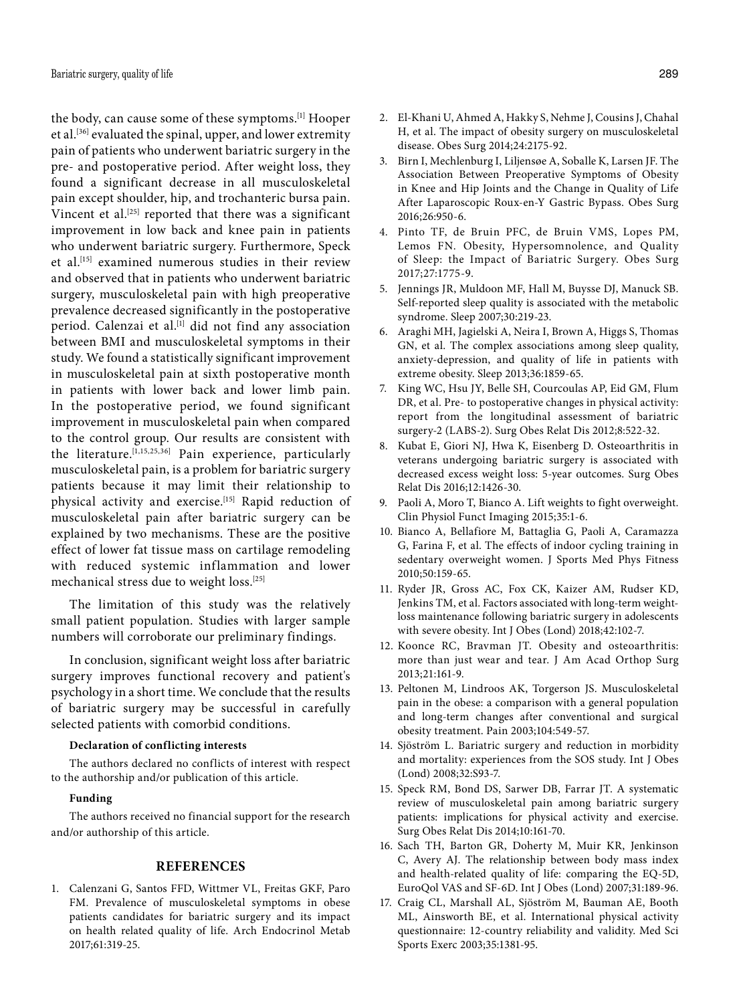the body, can cause some of these symptoms.[1] Hooper et al.<sup>[36]</sup> evaluated the spinal, upper, and lower extremity pain of patients who underwent bariatric surgery in the pre- and postoperative period. After weight loss, they found a significant decrease in all musculoskeletal pain except shoulder, hip, and trochanteric bursa pain. Vincent et al.<sup>[25]</sup> reported that there was a significant improvement in low back and knee pain in patients who underwent bariatric surgery. Furthermore, Speck et al.[15] examined numerous studies in their review and observed that in patients who underwent bariatric surgery, musculoskeletal pain with high preoperative prevalence decreased significantly in the postoperative period. Calenzai et al.<sup>[1]</sup> did not find any association between BMI and musculoskeletal symptoms in their study. We found a statistically significant improvement in musculoskeletal pain at sixth postoperative month in patients with lower back and lower limb pain. In the postoperative period, we found significant improvement in musculoskeletal pain when compared to the control group. Our results are consistent with the literature.  $[1,15,25,36]$  Pain experience, particularly musculoskeletal pain, is a problem for bariatric surgery patients because it may limit their relationship to physical activity and exercise.<sup>[15]</sup> Rapid reduction of musculoskeletal pain after bariatric surgery can be explained by two mechanisms. These are the positive effect of lower fat tissue mass on cartilage remodeling with reduced systemic inflammation and lower mechanical stress due to weight loss.[25]

The limitation of this study was the relatively small patient population. Studies with larger sample numbers will corroborate our preliminary findings.

In conclusion, significant weight loss after bariatric surgery improves functional recovery and patient's psychology in a short time. We conclude that the results of bariatric surgery may be successful in carefully selected patients with comorbid conditions.

## **Declaration of conflicting interests**

The authors declared no conflicts of interest with respect to the authorship and/or publication of this article.

#### **Funding**

The authors received no financial support for the research and/or authorship of this article.

## **REFERENCES**

1. Calenzani G, Santos FFD, Wittmer VL, Freitas GKF, Paro FM. Prevalence of musculoskeletal symptoms in obese patients candidates for bariatric surgery and its impact on health related quality of life. Arch Endocrinol Metab 2017;61:319-25.

- 2. El-Khani U, Ahmed A, Hakky S, Nehme J, Cousins J, Chahal H, et al. The impact of obesity surgery on musculoskeletal disease. Obes Surg 2014;24:2175-92.
- 3. Birn I, Mechlenburg I, Liljensøe A, Soballe K, Larsen JF. The Association Between Preoperative Symptoms of Obesity in Knee and Hip Joints and the Change in Quality of Life After Laparoscopic Roux-en-Y Gastric Bypass. Obes Surg 2016;26:950-6.
- 4. Pinto TF, de Bruin PFC, de Bruin VMS, Lopes PM, Lemos FN. Obesity, Hypersomnolence, and Quality of Sleep: the Impact of Bariatric Surgery. Obes Surg 2017;27:1775-9.
- 5. Jennings JR, Muldoon MF, Hall M, Buysse DJ, Manuck SB. Self-reported sleep quality is associated with the metabolic syndrome. Sleep 2007;30:219-23.
- 6. Araghi MH, Jagielski A, Neira I, Brown A, Higgs S, Thomas GN, et al. The complex associations among sleep quality, anxiety-depression, and quality of life in patients with extreme obesity. Sleep 2013;36:1859-65.
- 7. King WC, Hsu JY, Belle SH, Courcoulas AP, Eid GM, Flum DR, et al. Pre- to postoperative changes in physical activity: report from the longitudinal assessment of bariatric surgery-2 (LABS-2). Surg Obes Relat Dis 2012;8:522-32.
- 8. Kubat E, Giori NJ, Hwa K, Eisenberg D. Osteoarthritis in veterans undergoing bariatric surgery is associated with decreased excess weight loss: 5-year outcomes. Surg Obes Relat Dis 2016;12:1426-30.
- 9. Paoli A, Moro T, Bianco A. Lift weights to fight overweight. Clin Physiol Funct Imaging 2015;35:1-6.
- 10. Bianco A, Bellafiore M, Battaglia G, Paoli A, Caramazza G, Farina F, et al. The effects of indoor cycling training in sedentary overweight women. J Sports Med Phys Fitness 2010;50:159-65.
- 11. Ryder JR, Gross AC, Fox CK, Kaizer AM, Rudser KD, Jenkins TM, et al. Factors associated with long-term weightloss maintenance following bariatric surgery in adolescents with severe obesity. Int J Obes (Lond) 2018;42:102-7.
- 12. Koonce RC, Bravman JT. Obesity and osteoarthritis: more than just wear and tear. J Am Acad Orthop Surg 2013;21:161-9.
- 13. Peltonen M, Lindroos AK, Torgerson JS. Musculoskeletal pain in the obese: a comparison with a general population and long-term changes after conventional and surgical obesity treatment. Pain 2003;104:549-57.
- 14. Sjöström L. Bariatric surgery and reduction in morbidity and mortality: experiences from the SOS study. Int J Obes (Lond) 2008;32:S93-7.
- 15. Speck RM, Bond DS, Sarwer DB, Farrar JT. A systematic review of musculoskeletal pain among bariatric surgery patients: implications for physical activity and exercise. Surg Obes Relat Dis 2014;10:161-70.
- 16. Sach TH, Barton GR, Doherty M, Muir KR, Jenkinson C, Avery AJ. The relationship between body mass index and health-related quality of life: comparing the EQ-5D, EuroQol VAS and SF-6D. Int J Obes (Lond) 2007;31:189-96.
- 17. Craig CL, Marshall AL, Sjöström M, Bauman AE, Booth ML, Ainsworth BE, et al. International physical activity questionnaire: 12-country reliability and validity. Med Sci Sports Exerc 2003;35:1381-95.